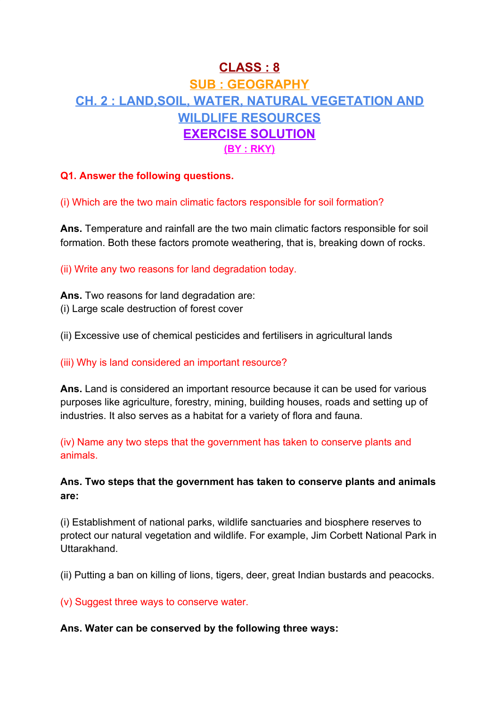# **CLASS : 8 SUB : GEOGRAPHY CH. 2 : LAND,SOIL, WATER, NATURAL VEGETATION AND WILDLIFE RESOURCES EXERCISE SOLUTION (BY : RKY)**

# **Q1. Answer the following questions.**

## (i) Which are the two main climatic factors responsible for soil formation?

**Ans.** Temperature and rainfall are the two main climatic factors responsible for soil formation. Both these factors promote weathering, that is, breaking down of rocks.

(ii) Write any two reasons for land degradation today.

**Ans.** Two reasons for land degradation are: (i) Large scale destruction of forest cover

(ii) Excessive use of chemical pesticides and fertilisers in agricultural lands

## (iii) Why is land considered an important resource?

**Ans.** Land is considered an important resource because it can be used for various purposes like agriculture, forestry, mining, building houses, roads and setting up of industries. It also serves as a habitat for a variety of flora and fauna.

(iv) Name any two steps that the government has taken to conserve plants and animals.

# **Ans. Two steps that the government has taken to conserve plants and animals are:**

(i) Establishment of national parks, wildlife sanctuaries and biosphere reserves to protect our natural vegetation and wildlife. For example, Jim Corbett National Park in Uttarakhand.

(ii) Putting a ban on killing of lions, tigers, deer, great Indian bustards and peacocks.

(v) Suggest three ways to conserve water.

## **Ans. Water can be conserved by the following three ways:**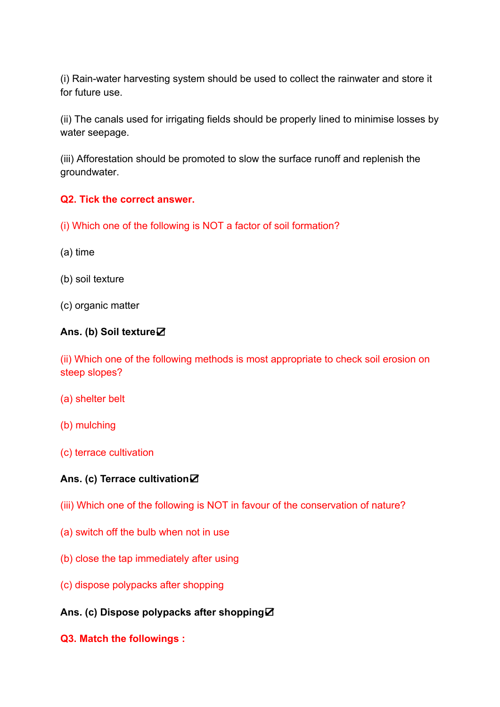(i) Rain-water harvesting system should be used to collect the rainwater and store it for future use.

(ii) The canals used for irrigating fields should be properly lined to minimise losses by water seepage.

(iii) Afforestation should be promoted to slow the surface runoff and replenish the groundwater.

## **Q2. Tick the correct answer.**

- (i) Which one of the following is NOT a factor of soil formation?
- (a) time
- (b) soil texture
- (c) organic matter

#### **Ans. (b) Soil texture**☑

(ii) Which one of the following methods is most appropriate to check soil erosion on steep slopes?

- (a) shelter belt
- (b) mulching
- (c) terrace cultivation

#### **Ans. (c) Terrace cultivation**☑

- (iii) Which one of the following is NOT in favour of the conservation of nature?
- (a) switch off the bulb when not in use
- (b) close the tap immediately after using
- (c) dispose polypacks after shopping
- **Ans. (c) Dispose polypacks after shopping**☑
- **Q3. Match the followings :**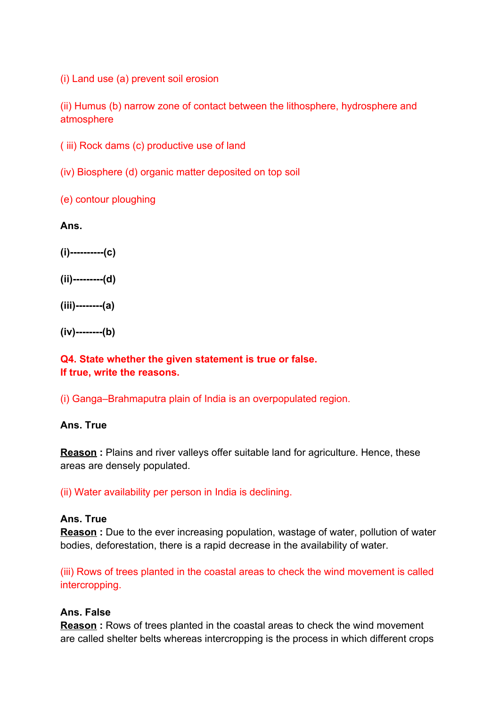(i) Land use (a) prevent soil erosion

(ii) Humus (b) narrow zone of contact between the lithosphere, hydrosphere and atmosphere

( iii) Rock dams (c) productive use of land

(iv) Biosphere (d) organic matter deposited on top soil

(e) contour ploughing

**Ans.**

**(i)----------(c)**

**(ii)---------(d)**

**(iii)--------(a)**

**(iv)--------(b)**

## **Q4. State whether the given statement is true or false. If true, write the reasons.**

(i) Ganga–Brahmaputra plain of India is an overpopulated region.

#### **Ans. True**

**Reason**: Plains and river valleys offer suitable land for agriculture. Hence, these areas are densely populated.

(ii) Water availability per person in India is declining.

## **Ans. True**

**Reason**: Due to the ever increasing population, wastage of water, pollution of water bodies, deforestation, there is a rapid decrease in the availability of water.

(iii) Rows of trees planted in the coastal areas to check the wind movement is called intercropping.

#### **Ans. False**

**Reason**: Rows of trees planted in the coastal areas to check the wind movement are called shelter belts whereas intercropping is the process in which different crops